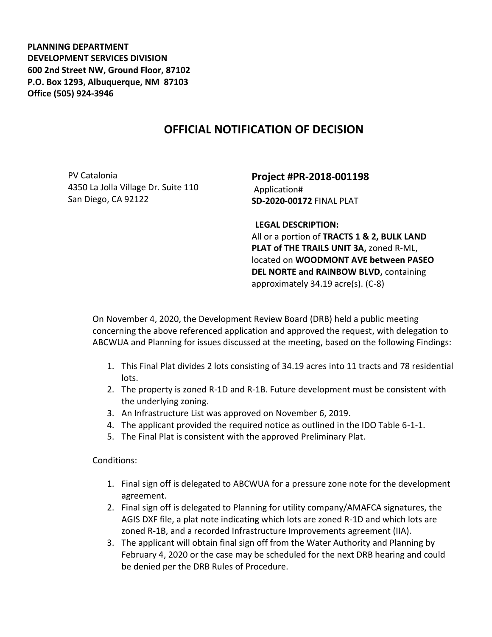**PLANNING DEPARTMENT DEVELOPMENT SERVICES DIVISION 600 2nd Street NW, Ground Floor, 87102 P.O. Box 1293, Albuquerque, NM 87103 Office (505) 924-3946** 

## **OFFICIAL NOTIFICATION OF DECISION**

PV Catalonia 4350 La Jolla Village Dr. Suite 110 San Diego, CA 92122

**Project #PR-2018-001198** Application# **SD-2020-00172** FINAL PLAT

**LEGAL DESCRIPTION:**

All or a portion of **TRACTS 1 & 2, BULK LAND PLAT of THE TRAILS UNIT 3A,** zoned R-ML, located on **WOODMONT AVE between PASEO DEL NORTE and RAINBOW BLVD,** containing approximately 34.19 acre(s). (C-8)

On November 4, 2020, the Development Review Board (DRB) held a public meeting concerning the above referenced application and approved the request, with delegation to ABCWUA and Planning for issues discussed at the meeting, based on the following Findings:

- 1. This Final Plat divides 2 lots consisting of 34.19 acres into 11 tracts and 78 residential lots.
- 2. The property is zoned R-1D and R-1B. Future development must be consistent with the underlying zoning.
- 3. An Infrastructure List was approved on November 6, 2019.
- 4. The applicant provided the required notice as outlined in the IDO Table 6-1-1.
- 5. The Final Plat is consistent with the approved Preliminary Plat.

Conditions:

- 1. Final sign off is delegated to ABCWUA for a pressure zone note for the development agreement.
- 2. Final sign off is delegated to Planning for utility company/AMAFCA signatures, the AGIS DXF file, a plat note indicating which lots are zoned R-1D and which lots are zoned R-1B, and a recorded Infrastructure Improvements agreement (IIA).
- 3. The applicant will obtain final sign off from the Water Authority and Planning by February 4, 2020 or the case may be scheduled for the next DRB hearing and could be denied per the DRB Rules of Procedure.